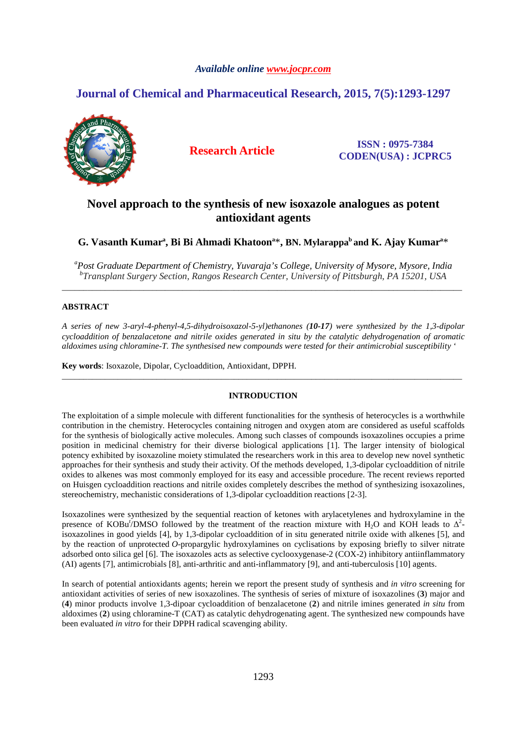# *Available online www.jocpr.com*

# **Journal of Chemical and Pharmaceutical Research, 2015, 7(5):1293-1297**



**Research Article ISSN : 0975-7384 CODEN(USA) : JCPRC5**

# **Novel approach to the synthesis of new isoxazole analogues as potent antioxidant agents**

G. Vasanth Kumar<sup>a</sup>, Bi Bi Ahmadi Khatoon<sup>a\*</sup>, BN. Mylarappa<sup>b</sup> and K. Ajay Kumar<sup>a\*</sup>

*<sup>a</sup>Post Graduate Department of Chemistry, Yuvaraja's College, University of Mysore, Mysore, India b Transplant Surgery Section, Rangos Research Center, University of Pittsburgh, PA 15201, USA* \_\_\_\_\_\_\_\_\_\_\_\_\_\_\_\_\_\_\_\_\_\_\_\_\_\_\_\_\_\_\_\_\_\_\_\_\_\_\_\_\_\_\_\_\_\_\_\_\_\_\_\_\_\_\_\_\_\_\_\_\_\_\_\_\_\_\_\_\_\_\_\_\_\_\_\_\_\_\_\_\_\_\_\_\_\_\_\_\_\_\_\_\_

## **ABSTRACT**

*A series of new 3-aryl-4-phenyl-4,5-dihydroisoxazol-5-yl)ethanones (10-17) were synthesized by the 1,3-dipolar cycloaddition of benzalacetone and nitrile oxides generated in situ by the catalytic dehydrogenation of aromatic aldoximes using chloramine-T. The synthesised new compounds were tested for their antimicrobial susceptibility '* 

**Key words**: Isoxazole, Dipolar, Cycloaddition, Antioxidant, DPPH.

## **INTRODUCTION**

\_\_\_\_\_\_\_\_\_\_\_\_\_\_\_\_\_\_\_\_\_\_\_\_\_\_\_\_\_\_\_\_\_\_\_\_\_\_\_\_\_\_\_\_\_\_\_\_\_\_\_\_\_\_\_\_\_\_\_\_\_\_\_\_\_\_\_\_\_\_\_\_\_\_\_\_\_\_\_\_\_\_\_\_\_\_\_\_\_\_\_\_\_

The exploitation of a simple molecule with different functionalities for the synthesis of heterocycles is a worthwhile contribution in the chemistry. Heterocycles containing nitrogen and oxygen atom are considered as useful scaffolds for the synthesis of biologically active molecules. Among such classes of compounds isoxazolines occupies a prime position in medicinal chemistry for their diverse biological applications [1]. The larger intensity of biological potency exhibited by isoxazoline moiety stimulated the researchers work in this area to develop new novel synthetic approaches for their synthesis and study their activity. Of the methods developed, 1,3-dipolar cycloaddition of nitrile oxides to alkenes was most commonly employed for its easy and accessible procedure. The recent reviews reported on Huisgen cycloaddition reactions and nitrile oxides completely describes the method of synthesizing isoxazolines, stereochemistry, mechanistic considerations of 1,3-dipolar cycloaddition reactions [2-3].

Isoxazolines were synthesized by the sequential reaction of ketones with arylacetylenes and hydroxylamine in the presence of KOBu<sup>t</sup>/DMSO followed by the treatment of the reaction mixture with H<sub>2</sub>O and KOH leads to  $\Delta^2$ isoxazolines in good yields [4], by 1,3-dipolar cycloaddition of in situ generated nitrile oxide with alkenes [5], and by the reaction of unprotected *O*-propargylic hydroxylamines on cyclisations by exposing briefly to silver nitrate adsorbed onto silica gel [6]. The isoxazoles acts as selective cyclooxygenase-2 (COX-2) inhibitory antiinflammatory (AI) agents [7], antimicrobials [8], anti-arthritic and anti-inflammatory [9], and anti-tuberculosis [10] agents.

In search of potential antioxidants agents; herein we report the present study of synthesis and *in vitro* screening for antioxidant activities of series of new isoxazolines. The synthesis of series of mixture of isoxazolines (**3**) major and (**4**) minor products involve 1,3-dipoar cycloaddition of benzalacetone (**2**) and nitrile imines generated *in situ* from aldoximes (**2**) using chloramine-T (CAT) as catalytic dehydrogenating agent. The synthesized new compounds have been evaluated *in vitro* for their DPPH radical scavenging ability.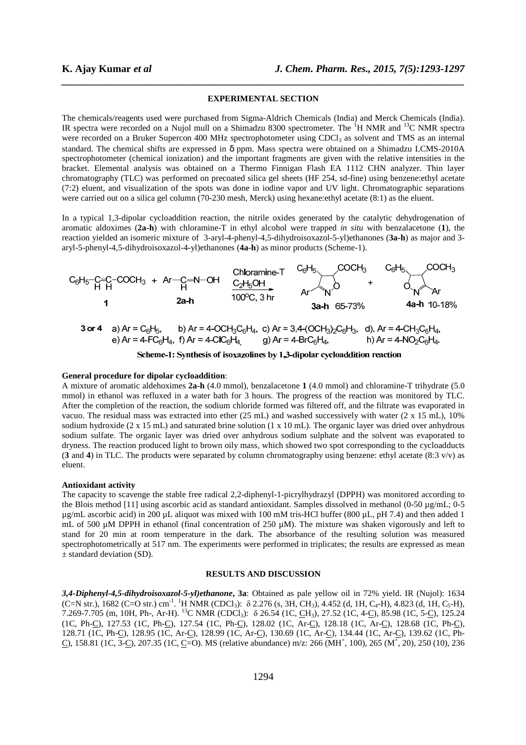#### **EXPERIMENTAL SECTION**

*\_\_\_\_\_\_\_\_\_\_\_\_\_\_\_\_\_\_\_\_\_\_\_\_\_\_\_\_\_\_\_\_\_\_\_\_\_\_\_\_\_\_\_\_\_\_\_\_\_\_\_\_\_\_\_\_\_\_\_\_\_\_\_\_\_\_\_\_\_\_\_\_\_\_\_\_\_\_*

The chemicals/reagents used were purchased from Sigma-Aldrich Chemicals (India) and Merck Chemicals (India). IR spectra were recorded on a Nujol mull on a Shimadzu 8300 spectrometer. The  ${}^{1}H$  NMR and  ${}^{13}C$  NMR spectra were recorded on a Bruker Supercon 400 MHz spectrophotometer using CDCl<sub>3</sub> as solvent and TMS as an internal standard. The chemical shifts are expressed in δ ppm. Mass spectra were obtained on a Shimadzu LCMS-2010A spectrophotometer (chemical ionization) and the important fragments are given with the relative intensities in the bracket. Elemental analysis was obtained on a Thermo Finnigan Flash EA 1112 CHN analyzer. Thin layer chromatography (TLC) was performed on precoated silica gel sheets (HF 254, sd-fine) using benzene:ethyl acetate (7:2) eluent, and visualization of the spots was done in iodine vapor and UV light. Chromatographic separations were carried out on a silica gel column (70-230 mesh, Merck) using hexane:ethyl acetate (8:1) as the eluent.

In a typical 1,3-dipolar cycloaddition reaction, the nitrile oxides generated by the catalytic dehydrogenation of aromatic aldoximes (**2a-h**) with chloramine-T in ethyl alcohol were trapped *in situ* with benzalacetone (**1**), the reaction yielded an isomeric mixture of 3-aryl-4-phenyl-4,5-dihydroisoxazol-5-yl)ethanones (**3a-h**) as major and 3 aryl-5-phenyl-4,5-dihydroisoxazol-4-yl)ethanones (**4a-h**) as minor products (Scheme-1).



3 or 4 a)  $Ar = C_6H_5$ , b) Ar = 4-OCH<sub>3</sub>C<sub>6</sub>H<sub>4</sub>, c) Ar = 3,4-(OCH<sub>3</sub>)<sub>2</sub>C<sub>6</sub>H<sub>3</sub>, d). Ar = 4-CH<sub>3</sub>C<sub>6</sub>H<sub>4</sub>, e) Ar = 4-FC<sub>6</sub>H<sub>4</sub>, f) Ar = 4-CIC<sub>6</sub>H<sub>4</sub> g) Ar = 4-BrC<sub>6</sub>H<sub>4</sub>, h)  $Ar = 4-NO_2C_6H_4$ 

Scheme-1: Synthesis of isoxazolines by 1,3-dipolar cycloaddition reaction

## **General procedure for dipolar cycloaddition**:

A mixture of aromatic aldehoximes **2a-h** (4.0 mmol), benzalacetone **1** (4.0 mmol) and chloramine-T trihydrate (5.0 mmol) in ethanol was refluxed in a water bath for 3 hours. The progress of the reaction was monitored by TLC. After the completion of the reaction, the sodium chloride formed was filtered off, and the filtrate was evaporated in vacuo. The residual mass was extracted into ether (25 mL) and washed successively with water (2 x 15 mL), 10% sodium hydroxide (2 x 15 mL) and saturated brine solution (1 x 10 mL). The organic layer was dried over anhydrous sodium sulfate. The organic layer was dried over anhydrous sodium sulphate and the solvent was evaporated to dryness. The reaction produced light to brown oily mass, which showed two spot corresponding to the cycloadducts (**3** and **4**) in TLC. The products were separated by column chromatography using benzene: ethyl acetate (8:3 v/v) as eluent.

## **Antioxidant activity**

The capacity to scavenge the stable free radical 2,2-diphenyl-1-picrylhydrazyl (DPPH) was monitored according to the Blois method [11] using ascorbic acid as standard antioxidant. Samples dissolved in methanol (0-50 µg/mL; 0-5 µg/mL ascorbic acid) in 200 µL aliquot was mixed with 100 mM tris-HCl buffer (800 µL, pH 7.4) and then added 1 mL of 500 μM DPPH in ethanol (final concentration of 250 μM). The mixture was shaken vigorously and left to stand for 20 min at room temperature in the dark. The absorbance of the resulting solution was measured spectrophotometrically at 517 nm. The experiments were performed in triplicates; the results are expressed as mean ± standard deviation (SD).

#### **RESULTS AND DISCUSSION**

*3,4-Diphenyl-4,5-dihydroisoxazol-5-yl)ethanone***, 3a**: Obtained as pale yellow oil in 72% yield. IR (Nujol): 1634  $(C=N \text{ str.})$ , 1682  $(C=O \text{ str.}) \text{ cm}^{-1}$ . <sup>1</sup>H NMR  $(CDCl_3)$ : δ 2.276 (s, 3H, CH<sub>3</sub>), 4.452 (d, 1H, C<sub>4</sub>-H), 4.823 (d, 1H, C<sub>5</sub>-H), 7.269-7.705 (m, 10H, Ph-, Ar-H). <sup>13</sup>C NMR (CDCl3): δ 26.54 (1C, CH3), 27.52 (1C, 4-C), 85.98 (1C, 5-C), 125.24 (1C, Ph-C), 127.53 (1C, Ph-C), 127.54 (1C, Ph-C), 128.02 (1C, Ar-C), 128.18 (1C, Ar-C), 128.68 (1C, Ph-C), 128.71 (1C, Ph-C), 128.95 (1C, Ar-C), 128.99 (1C, Ar-C), 130.69 (1C, Ar-C), 134.44 (1C, Ar-C), 139.62 (1C, Ph- $\Box$ , 158.81 (1C, 3- $\Box$ ), 207.35 (1C,  $\Box$ =O). MS (relative abundance) m/z: 266 (MH<sup>+</sup>, 100), 265 (M<sup>+</sup>, 20), 250 (10), 236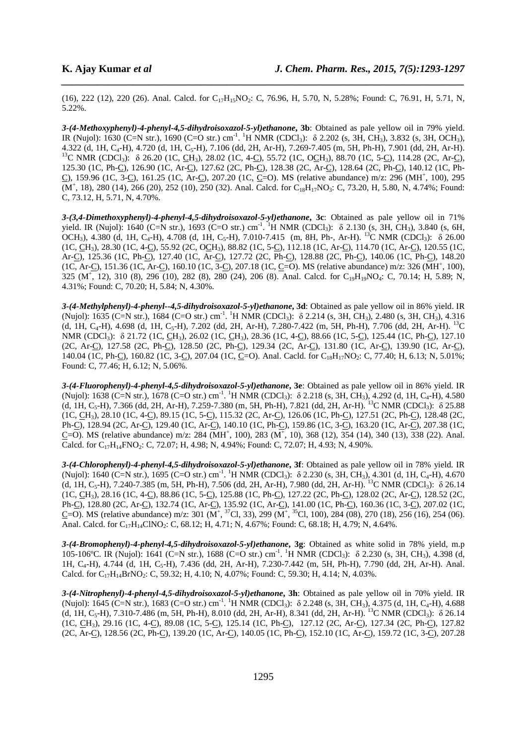(16), 222 (12), 220 (26). Anal. Calcd. for  $C_{17}H_{15}NO_2$ : C, 76.96, H, 5.70, N, 5.28%; Found: C, 76.91, H, 5.71, N, 5.22%.

*\_\_\_\_\_\_\_\_\_\_\_\_\_\_\_\_\_\_\_\_\_\_\_\_\_\_\_\_\_\_\_\_\_\_\_\_\_\_\_\_\_\_\_\_\_\_\_\_\_\_\_\_\_\_\_\_\_\_\_\_\_\_\_\_\_\_\_\_\_\_\_\_\_\_\_\_\_\_*

*3-(4-Methoxyphenyl)-4-phenyl-4,5-dihydroisoxazol-5-yl)ethanone***, 3b**: Obtained as pale yellow oil in 79% yield. IR (Nujol): 1630 (C=N str.), 1690 (C=O str.) cm<sup>-1</sup>. <sup>1</sup>H NMR (CDCl<sub>3</sub>): δ 2.202 (s, 3H, CH<sub>3</sub>), 3.832 (s, 3H, OCH<sub>3</sub>), 4.322 (d, 1H, C<sub>4</sub>-H), 4.720 (d, 1H, C<sub>5</sub>-H), 7.106 (dd, 2H, Ar-H), 7.269-7.405 (m, 5H, Ph-H), 7.901 (dd, 2H, Ar-H). <sup>13</sup>C NMR (CDCl<sub>3</sub>):  $\delta$  26.20 (1C, <u>C</u>H<sub>3</sub>), 28.02 (1C, 4-C<sub>2</sub>), 55.72 (1C, OCH<sub>3</sub>), 88.70 (1C, 5-C<sub>2</sub>), 114.28 (2C, Ar-C<sub>2</sub>), 125.30 (1C, Ph-C), 126.90 (1C, Ar-C), 127.62 (2C, Ph-C), 128.38 (2C, Ar-C), 128.64 (2C, Ph-C), 140.12 (1C, Ph- $C$ ), 159.96 (1C, 3- $C$ ), 161.25 (1C, Ar- $C$ ), 207.20 (1C,  $C=O$ ). MS (relative abundance) m/z: 296 (MH<sup>+</sup>, 100), 295  $(M^+$ , 18), 280 (14), 266 (20), 252 (10), 250 (32). Anal. Calcd. for C<sub>18</sub>H<sub>17</sub>NO<sub>3</sub>: C, 73.20, H, 5.80, N, 4.74%; Found: C, 73.12, H, 5.71, N, 4.70%.

*3-(3,4-Dimethoxyphenyl)-4-phenyl-4,5-dihydroisoxazol-5-yl)ethanone***, 3c**: Obtained as pale yellow oil in 71% yield. IR (Nujol): 1640 (C=N str.), 1693 (C=O str.) cm<sup>-1</sup>. <sup>1</sup>H NMR (CDCl<sub>3</sub>):  $\delta$  2.130 (s, 3H, CH<sub>3</sub>), 3.840 (s, 6H, OCH<sub>3</sub>), 4.380 (d, 1H, C<sub>4</sub>-H), 4.708 (d, 1H, C<sub>5</sub>-H), 7.010-7.415 (m, 8H, Ph-, Ar-H). <sup>13</sup>C NMR (CDCl<sub>3</sub>):  $\delta$  26.00 (1C, CH3), 28.30 (1C, 4-C), 55.92 (2C, OCH3), 88.82 (1C, 5-C), 112.18 (1C, Ar-C), 114.70 (1C, Ar-C), 120.55 (1C, Ar-C), 125.36 (1C, Ph-C), 127.40 (1C, Ar-C), 127.72 (2C, Ph-C), 128.88 (2C, Ph-C), 140.06 (1C, Ph-C), 148.20 (1C, Ar-C), 151.36 (1C, Ar-C), 160.10 (1C, 3-C), 207.18 (1C, C=O). MS (relative abundance) m/z: 326 (MH<sup>+</sup>, 100), 325 (M<sup>+</sup>, 12), 310 (8), 296 (10), 282 (8), 280 (24), 206 (8). Anal. Calcd. for C<sub>19</sub>H<sub>19</sub>NO<sub>4</sub>: C, 70.14; H, 5.89; N, 4.31%; Found: C, 70.20; H, 5.84; N, 4.30%.

*3-(4-Methylphenyl)-4-phenyl--4,5-dihydroisoxazol-5-yl)ethanone***, 3d**: Obtained as pale yellow oil in 86% yield. IR (Nujol): 1635 (C=N str.), 1684 (C=O str.) cm<sup>-1</sup>. <sup>1</sup>H NMR (CDCl<sub>3</sub>):  $\delta$  2.214 (s, 3H, CH<sub>3</sub>), 2.480 (s, 3H, CH<sub>3</sub>), 4.316 (d, 1H, C<sub>4</sub>-H), 4.698 (d, 1H, C<sub>5</sub>-H), 7.202 (dd, 2H, Ar-H), 7.280-7.422 (m, 5H, Ph-H), 7.706 (dd, 2H, Ar-H). <sup>13</sup>C NMR (CDCl<sub>3</sub>): δ 21.72 (1C, CH<sub>3</sub>), 26.02 (1C, CH<sub>3</sub>), 28.36 (1C, 4-C), 88.66 (1C, 5-C), 125.44 (1C, Ph-C), 127.10 (2C, Ar-C), 127.58 (2C, Ph-C), 128.50 (2C, Ph-C), 129.34 (2C, Ar-C), 131.80 (1C, Ar-C), 139.90 (1C, Ar-C), 140.04 (1C, Ph-C), 160.82 (1C, 3-C), 207.04 (1C, C=O). Anal. Cacld. for C<sub>18</sub>H<sub>17</sub>NO<sub>2</sub>: C, 77.40; H, 6.13; N, 5.01%; Found: C, 77.46; H, 6.12; N, 5.06%.

*3-(4-Fluorophenyl)-4-phenyl-4,5-dihydroisoxazol-5-yl)ethanone***, 3e**: Obtained as pale yellow oil in 86% yield. IR (Nujol): 1638 (C=N str.), 1678 (C=O str.) cm<sup>-1</sup>. <sup>1</sup>H NMR (CDCl<sub>3</sub>):  $\delta$  2.218 (s, 3H, CH<sub>3</sub>), 4.292 (d, 1H, C<sub>4</sub>-H), 4.580 (d, 1H, C<sub>5</sub>-H), 7.366 (dd, 2H, Ar-H), 7.259-7.380 (m, 5H, Ph-H), 7.821 (dd, 2H, Ar-H). <sup>13</sup>C NMR (CDCl<sub>3</sub>):  $\delta$  25.88 (1C, CH3), 28.10 (1C, 4-C), 89.15 (1C, 5-C), 115.32 (2C, Ar-C), 126.06 (1C, Ph-C), 127.51 (2C, Ph-C), 128.48 (2C, Ph-C), 128.94 (2C, Ar-C), 129.40 (1C, Ar-C), 140.10 (1C, Ph-C), 159.86 (1C, 3-C), 163.20 (1C, Ar-C), 207.38 (1C,  $\underline{C}$ =O). MS (relative abundance) m/z: 284 (MH<sup>+</sup>, 100), 283 (M<sup>+</sup>, 10), 368 (12), 354 (14), 340 (13), 338 (22). Anal. Calcd. for  $C_{17}H_{14}FNO_2$ : C, 72.07; H, 4.98; N, 4.94%; Found: C, 72.07; H, 4.93; N, 4.90%.

*3-(4-Chlorophenyl)-4-phenyl-4,5-dihydroisoxazol-5-yl)ethanone***, 3f**: Obtained as pale yellow oil in 78% yield. IR (Nujol): 1640 (C=N str.), 1695 (C=O str.) cm<sup>-1</sup>. <sup>1</sup>H NMR (CDCl<sub>3</sub>):  $\delta$  2.230 (s, 3H, CH<sub>3</sub>), 4.301 (d, 1H, C<sub>4</sub>-H), 4.670 (d, 1H, C<sub>5</sub>-H), 7.240-7.385 (m, 5H, Ph-H), 7.506 (dd, 2H, Ar-H), 7.980 (dd, 2H, Ar-H). <sup>13</sup>C NMR (CDCl<sub>3</sub>):  $\delta$  26.14 (1C, CH3), 28.16 (1C, 4-C), 88.86 (1C, 5-C), 125.88 (1C, Ph-C), 127.22 (2C, Ph-C), 128.02 (2C, Ar-C), 128.52 (2C, Ph-C), 128.80 (2C, Ar-C), 132.74 (1C, Ar-C), 135.92 (1C, Ar-C), 141.00 (1C, Ph-C), 160.36 (1C, 3-C), 207.02 (1C,  $\underline{C}$ =O). MS (relative abundance) m/z: 301 (M<sup>+</sup>, <sup>37</sup>Cl, 33), 299 (M<sup>+</sup>, <sup>35</sup>Cl, 100), 284 (08), 270 (18), 256 (16), 254 (06). Anal. Calcd. for  $C_{17}H_{14}CINO_2$ : C, 68.12; H, 4.71; N, 4.67%; Found: C, 68.18; H, 4.79; N, 4.64%.

*3-(4-Bromophenyl)-4-phenyl-4,5-dihydroisoxazol-5-yl)ethanone***, 3g**: Obtained as white solid in 78% yield, m.p 105-106°C. IR (Nujol): 1641 (C=N str.), 1688 (C=O str.) cm<sup>-1</sup>. <sup>1</sup>H NMR (CDCl<sub>3</sub>): δ 2.230 (s, 3H, CH<sub>3</sub>), 4.398 (d, 1H, C<sub>4</sub>-H), 4.744 (d, 1H, C<sub>5</sub>-H), 7.436 (dd, 2H, Ar-H), 7.230-7.442 (m, 5H, Ph-H), 7.790 (dd, 2H, Ar-H). Anal. Calcd. for  $C_{17}H_{14}BrNO_2$ : C, 59.32; H, 4.10; N, 4.07%; Found: C, 59.30; H, 4.14; N, 4.03%.

*3-(4-Nitrophenyl)-4-phenyl-4,5-dihydroisoxazol-5-yl)ethanone***, 3h**: Obtained as pale yellow oil in 70% yield. IR (Nujol): 1645 (C=N str.), 1683 (C=O str.) cm<sup>-1</sup>. <sup>1</sup>H NMR (CDCl<sub>3</sub>):  $\delta$  2.248 (s, 3H, CH<sub>3</sub>), 4.375 (d, 1H, C<sub>4</sub>-H), 4.688 (d, 1H, C<sub>5</sub>-H), 7.310-7.486 (m, 5H, Ph-H), 8.010 (dd, 2H, Ar-H), 8.341 (dd, 2H, Ar-H). <sup>13</sup>C NMR (CDCl<sub>3</sub>):  $\delta$  26.14 (1C, CH3), 29.16 (1C, 4-C), 89.08 (1C, 5-C), 125.14 (1C, Ph-C), 127.12 (2C, Ar-C), 127.34 (2C, Ph-C), 127.82 (2C, Ar-C), 128.56 (2C, Ph-C), 139.20 (1C, Ar-C), 140.05 (1C, Ph-C), 152.10 (1C, Ar-C), 159.72 (1C, 3-C), 207.28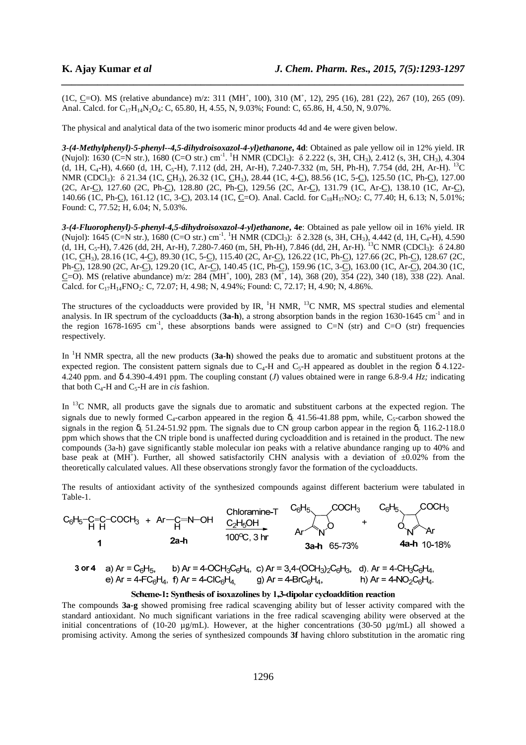$(1C, C=0)$ . MS (relative abundance) m/z: 311 (MH<sup>+</sup>, 100), 310 (M<sup>+</sup>, 12), 295 (16), 281 (22), 267 (10), 265 (09). Anal. Calcd. for  $C_{17}H_{14}N_2O_4$ : C, 65.80, H, 4.55, N, 9.03%; Found: C, 65.86, H, 4.50, N, 9.07%.

*\_\_\_\_\_\_\_\_\_\_\_\_\_\_\_\_\_\_\_\_\_\_\_\_\_\_\_\_\_\_\_\_\_\_\_\_\_\_\_\_\_\_\_\_\_\_\_\_\_\_\_\_\_\_\_\_\_\_\_\_\_\_\_\_\_\_\_\_\_\_\_\_\_\_\_\_\_\_*

The physical and analytical data of the two isomeric minor products 4d and 4e were given below.

*3-(4-Methylphenyl)-5-phenyl--4,5-dihydroisoxazol-4-yl)ethanone***, 4d**: Obtained as pale yellow oil in 12% yield. IR (Nujol): 1630 (C=N str.), 1680 (C=O str.) cm<sup>-1</sup>. <sup>1</sup>H NMR (CDCl<sub>3</sub>): δ 2.222 (s, 3H, CH<sub>3</sub>), 2.412 (s, 3H, CH<sub>3</sub>), 4.304 (d, 1H, C<sub>4</sub>-H), 4.660 (d, 1H, C<sub>5</sub>-H), 7.112 (dd, 2H, Ar-H), 7.240-7.332 (m, 5H, Ph-H), 7.754 (dd, 2H, Ar-H). <sup>13</sup>C NMR (CDCl<sub>3</sub>): δ 21.34 (1C, <u>CH<sub>3</sub>), 26.32 (1C, CH<sub>3</sub>), 28.44 (1C, 4-C</u>), 88.56 (1C, 5-C), 125.50 (1C, Ph-C), 127.00 (2C, Ar-C), 127.60 (2C, Ph-C), 128.80 (2C, Ph-C), 129.56 (2C, Ar-C), 131.79 (1C, Ar-C), 138.10 (1C, Ar-C), 140.66 (1C, Ph-C), 161.12 (1C, 3-C), 203.14 (1C, C=O). Anal. Cacld. for C<sub>18</sub>H<sub>17</sub>NO<sub>2</sub>: C, 77.40; H, 6.13; N, 5.01%; Found: C, 77.52; H, 6.04; N, 5.03%.

*3-(4-Fluorophenyl)-5-phenyl-4,5-dihydroisoxazol-4-yl)ethanone***, 4e**: Obtained as pale yellow oil in 16% yield. IR (Nujol): 1645 (C=N str.), 1680 (C=O str.) cm<sup>-1</sup>. <sup>1</sup>H NMR (CDCl<sub>3</sub>):  $\delta$  2.328 (s, 3H, CH<sub>3</sub>), 4.442 (d, 1H, C<sub>4</sub>-H), 4.590 (d, 1H, C<sub>5</sub>-H), 7.426 (dd, 2H, Ar-H), 7.280-7.460 (m, 5H, Ph-H), 7.846 (dd, 2H, Ar-H). <sup>13</sup>C NMR (CDCl<sub>3</sub>):  $\delta$  24.80 (1C, CH3), 28.16 (1C, 4-C), 89.30 (1C, 5-C), 115.40 (2C, Ar-C), 126.22 (1C, Ph-C), 127.66 (2C, Ph-C), 128.67 (2C, Ph-C), 128.90 (2C, Ar-C), 129.20 (1C, Ar-C), 140.45 (1C, Ph-C), 159.96 (1C, 3-C), 163.00 (1C, Ar-C), 204.30 (1C,  $C=O$ ). MS (relative abundance) m/z: 284 (MH<sup>+</sup>, 100), 283 (M<sup>+</sup>, 14), 368 (20), 354 (22), 340 (18), 338 (22). Anal. Calcd. for  $C_{17}H_{14}FNO_2$ : C, 72.07; H, 4.98; N, 4.94%; Found: C, 72.17; H, 4.90; N, 4.86%.

The structures of the cycloadducts were provided by IR,  ${}^{1}H$  NMR,  ${}^{13}C$  NMR, MS spectral studies and elemental analysis. In IR spectrum of the cycloadducts (3a-h), a strong absorption bands in the region 1630-1645 cm<sup>-1</sup> and in the region  $1678-1695$  cm<sup>-1</sup>, these absorptions bands were assigned to C=N (str) and C=O (str) frequencies respectively.

In <sup>1</sup>H NMR spectra, all the new products (**3a-h**) showed the peaks due to aromatic and substituent protons at the expected region. The consistent pattern signals due to  $C_4$ -H and  $C_5$ -H appeared as doublet in the region  $\delta$  4.122-4.240 ppm. and δ 4.390-4.491 ppm. The coupling constant (*J*) values obtained were in range 6.8-9.4 *Hz;* indicating that both  $C_4$ -H and  $C_5$ -H are in *cis* fashion.

In <sup>13</sup>C NMR, all products gave the signals due to aromatic and substituent carbons at the expected region. The signals due to newly formed  $C_4$ -carbon appeared in the region  $\delta_c$  41.56-41.88 ppm, while, C<sub>5</sub>-carbon showed the signals in the region  $\delta_c$  51.24-51.92 ppm. The signals due to CN group carbon appear in the region  $\delta_c$  116.2-118.0 ppm which shows that the CN triple bond is unaffected during cycloaddition and is retained in the product. The new compounds (3a-h) gave significantly stable molecular ion peaks with a relative abundance ranging up to 40% and base peak at (MH<sup>+</sup>). Further, all showed satisfactorily CHN analysis with a deviation of  $\pm 0.02\%$  from the theoretically calculated values. All these observations strongly favor the formation of the cycloadducts.

The results of antioxidant activity of the synthesized compounds against different bacterium were tabulated in Table-1.



## Scheme-1: Synthesis of isoxazolines by 1,3-dipolar cycloaddition reaction

The compounds **3a-g** showed promising free radical scavenging ability but of lesser activity compared with the standard antioxidant. No much significant variations in the free radical scavenging ability were observed at the initial concentrations of (10-20  $\mu$ g/mL). However, at the higher concentrations (30-50  $\mu$ g/mL) all showed a promising activity. Among the series of synthesized compounds **3f** having chloro substitution in the aromatic ring